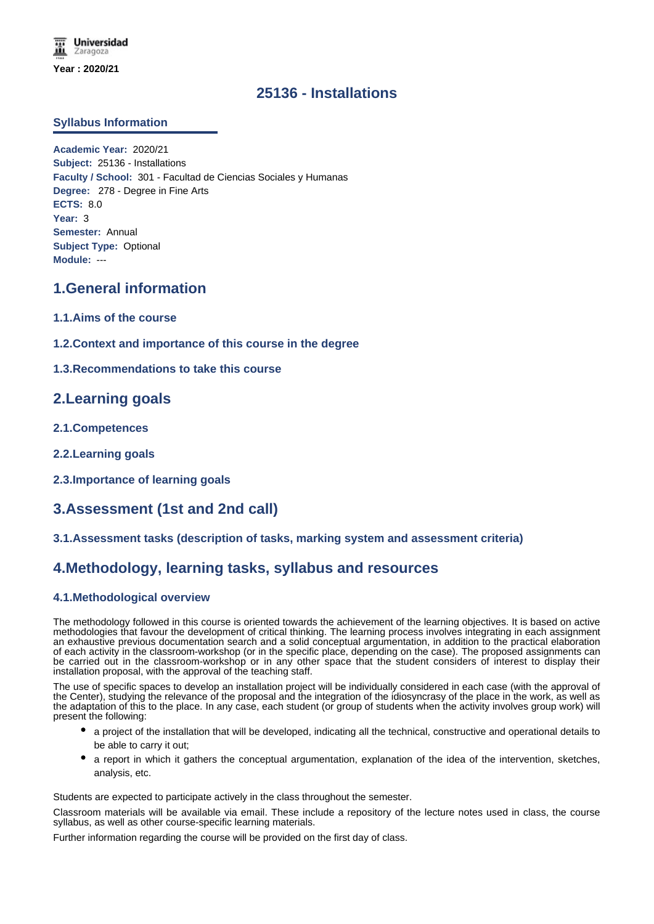## **25136 - Installations**

### **Syllabus Information**

**Academic Year:** 2020/21 **Subject:** 25136 - Installations **Faculty / School:** 301 - Facultad de Ciencias Sociales y Humanas **Degree:** 278 - Degree in Fine Arts **ECTS:** 8.0 **Year:** 3 **Semester:** Annual **Subject Type:** Optional **Module:** ---

### **1.General information**

- **1.1.Aims of the course**
- **1.2.Context and importance of this course in the degree**
- **1.3.Recommendations to take this course**

## **2.Learning goals**

- **2.1.Competences**
- **2.2.Learning goals**
- **2.3.Importance of learning goals**

# **3.Assessment (1st and 2nd call)**

### **3.1.Assessment tasks (description of tasks, marking system and assessment criteria)**

## **4.Methodology, learning tasks, syllabus and resources**

### **4.1.Methodological overview**

The methodology followed in this course is oriented towards the achievement of the learning objectives. It is based on active methodologies that favour the development of critical thinking. The learning process involves integrating in each assignment an exhaustive previous documentation search and a solid conceptual argumentation, in addition to the practical elaboration of each activity in the classroom-workshop (or in the specific place, depending on the case). The proposed assignments can be carried out in the classroom-workshop or in any other space that the student considers of interest to display their installation proposal, with the approval of the teaching staff.

The use of specific spaces to develop an installation project will be individually considered in each case (with the approval of the Center), studying the relevance of the proposal and the integration of the idiosyncrasy of the place in the work, as well as the adaptation of this to the place. In any case, each student (or group of students when the activity involves group work) will present the following:

- a project of the installation that will be developed, indicating all the technical, constructive and operational details to be able to carry it out;
- a report in which it gathers the conceptual argumentation, explanation of the idea of the intervention, sketches, analysis, etc.

Students are expected to participate actively in the class throughout the semester.

Classroom materials will be available via email. These include a repository of the lecture notes used in class, the course syllabus, as well as other course-specific learning materials.

Further information regarding the course will be provided on the first day of class.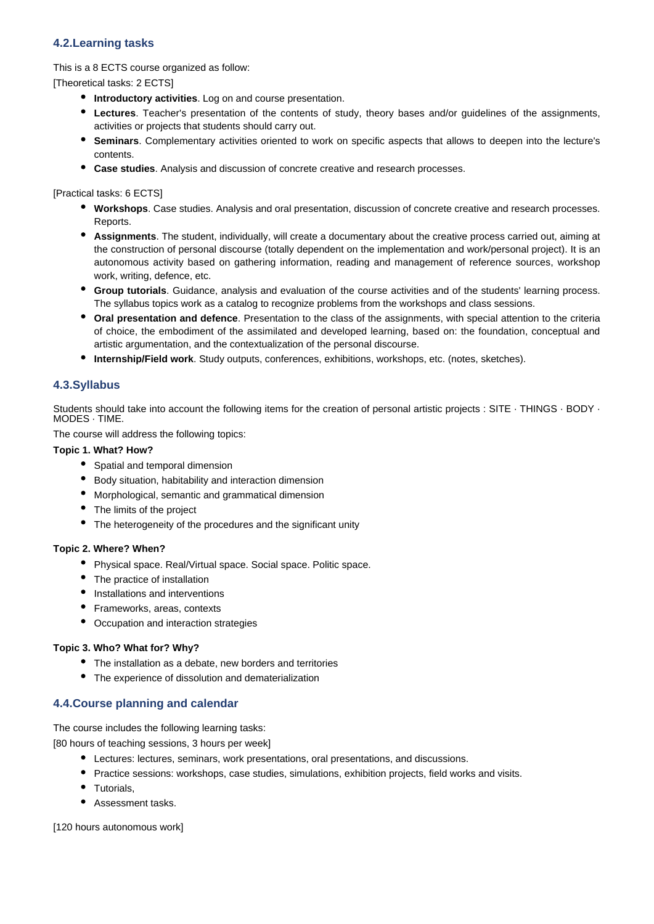### **4.2.Learning tasks**

This is a 8 ECTS course organized as follow:

[Theoretical tasks: 2 ECTS]

- **Introductory activities**. Log on and course presentation.
- **Lectures**. Teacher's presentation of the contents of study, theory bases and/or guidelines of the assignments, activities or projects that students should carry out.
- **Seminars**. Complementary activities oriented to work on specific aspects that allows to deepen into the lecture's contents.
- **Case studies**. Analysis and discussion of concrete creative and research processes.

[Practical tasks: 6 ECTS]

- **Workshops**. Case studies. Analysis and oral presentation, discussion of concrete creative and research processes. Reports.
- **Assignments**. The student, individually, will create a documentary about the creative process carried out, aiming at the construction of personal discourse (totally dependent on the implementation and work/personal project). It is an autonomous activity based on gathering information, reading and management of reference sources, workshop work, writing, defence, etc.
- **Group tutorials**. Guidance, analysis and evaluation of the course activities and of the students' learning process. The syllabus topics work as a catalog to recognize problems from the workshops and class sessions.
- **Oral presentation and defence**. Presentation to the class of the assignments, with special attention to the criteria of choice, the embodiment of the assimilated and developed learning, based on: the foundation, conceptual and artistic argumentation, and the contextualization of the personal discourse.
- **Internship/Field work**. Study outputs, conferences, exhibitions, workshops, etc. (notes, sketches).

### **4.3.Syllabus**

Students should take into account the following items for the creation of personal artistic projects : SITE · THINGS · BODY · MODES · TIME.

The course will address the following topics:

#### **Topic 1. What? How?**

- Spatial and temporal dimension
- Body situation, habitability and interaction dimension
- Morphological, semantic and grammatical dimension
- The limits of the project
- The heterogeneity of the procedures and the significant unity

#### **Topic 2. Where? When?**

- Physical space. Real/Virtual space. Social space. Politic space.
- The practice of installation
- Installations and interventions
- Frameworks, areas, contexts
- Occupation and interaction strategies

#### **Topic 3. Who? What for? Why?**

- The installation as a debate, new borders and territories
- The experience of dissolution and dematerialization

### **4.4.Course planning and calendar**

The course includes the following learning tasks:

[80 hours of teaching sessions, 3 hours per week]

- Lectures: lectures, seminars, work presentations, oral presentations, and discussions.
- Practice sessions: workshops, case studies, simulations, exhibition projects, field works and visits.
- Tutorials.
- Assessment tasks.

[120 hours autonomous work]